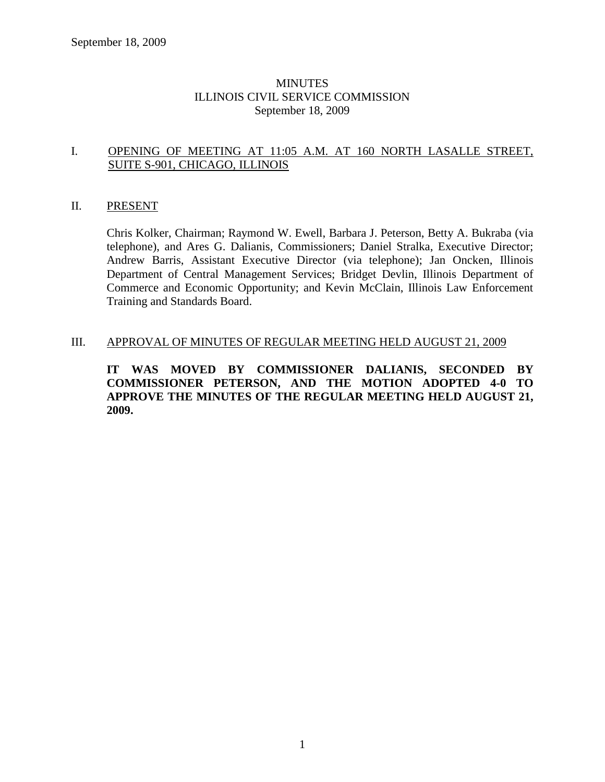#### **MINUTES** ILLINOIS CIVIL SERVICE COMMISSION September 18, 2009

#### I. OPENING OF MEETING AT 11:05 A.M. AT 160 NORTH LASALLE STREET, SUITE S-901, CHICAGO, ILLINOIS

#### II. PRESENT

Chris Kolker, Chairman; Raymond W. Ewell, Barbara J. Peterson, Betty A. Bukraba (via telephone), and Ares G. Dalianis, Commissioners; Daniel Stralka, Executive Director; Andrew Barris, Assistant Executive Director (via telephone); Jan Oncken, Illinois Department of Central Management Services; Bridget Devlin, Illinois Department of Commerce and Economic Opportunity; and Kevin McClain, Illinois Law Enforcement Training and Standards Board.

#### III. APPROVAL OF MINUTES OF REGULAR MEETING HELD AUGUST 21, 2009

**IT WAS MOVED BY COMMISSIONER DALIANIS, SECONDED BY COMMISSIONER PETERSON, AND THE MOTION ADOPTED 4-0 TO APPROVE THE MINUTES OF THE REGULAR MEETING HELD AUGUST 21, 2009.**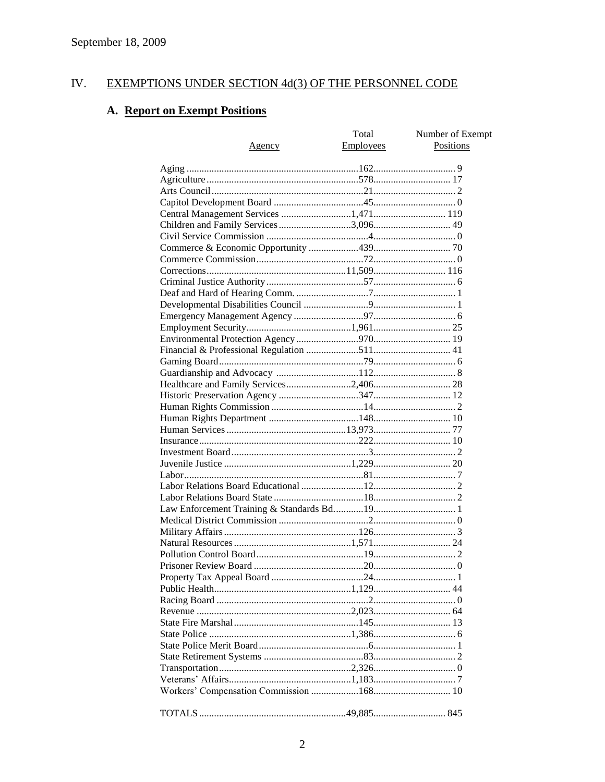#### IV. EXEMPTIONS UNDER SECTION 4d(3) OF THE PERSONNEL CODE

# A. Report on Exempt Positions

|                                       | Total            | Number of Exempt |
|---------------------------------------|------------------|------------------|
| Agency                                | <b>Employees</b> | Positions        |
|                                       |                  |                  |
|                                       |                  |                  |
|                                       |                  |                  |
|                                       |                  |                  |
|                                       |                  |                  |
|                                       |                  |                  |
| Children and Family Services 3,096 49 |                  |                  |
|                                       |                  |                  |
|                                       |                  |                  |
|                                       |                  |                  |
|                                       |                  |                  |
|                                       |                  |                  |
|                                       |                  |                  |
|                                       |                  |                  |
|                                       |                  |                  |
|                                       |                  |                  |
|                                       |                  |                  |
|                                       |                  |                  |
|                                       |                  |                  |
|                                       |                  |                  |
|                                       |                  |                  |
|                                       |                  |                  |
|                                       |                  |                  |
|                                       |                  |                  |
|                                       |                  |                  |
|                                       |                  |                  |
|                                       |                  |                  |
|                                       |                  |                  |
|                                       |                  |                  |
|                                       |                  |                  |
|                                       |                  |                  |
|                                       |                  |                  |
|                                       |                  |                  |
|                                       |                  |                  |
|                                       |                  |                  |
|                                       |                  |                  |
|                                       |                  |                  |
|                                       |                  |                  |
|                                       |                  |                  |
|                                       |                  |                  |
|                                       |                  |                  |
|                                       |                  |                  |
|                                       |                  |                  |
|                                       |                  |                  |
|                                       |                  |                  |
|                                       |                  |                  |
|                                       |                  |                  |
|                                       |                  |                  |
|                                       |                  |                  |
|                                       |                  |                  |
|                                       |                  |                  |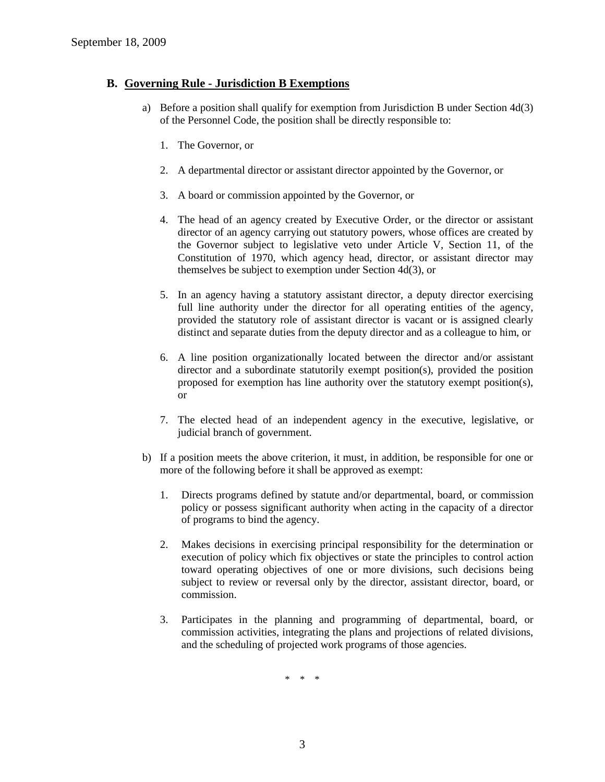### **B. Governing Rule - Jurisdiction B Exemptions**

- a) Before a position shall qualify for exemption from Jurisdiction B under Section 4d(3) of the Personnel Code, the position shall be directly responsible to:
	- 1. The Governor, or
	- 2. A departmental director or assistant director appointed by the Governor, or
	- 3. A board or commission appointed by the Governor, or
	- 4. The head of an agency created by Executive Order, or the director or assistant director of an agency carrying out statutory powers, whose offices are created by the Governor subject to legislative veto under Article V, Section 11, of the Constitution of 1970, which agency head, director, or assistant director may themselves be subject to exemption under Section 4d(3), or
	- 5. In an agency having a statutory assistant director, a deputy director exercising full line authority under the director for all operating entities of the agency, provided the statutory role of assistant director is vacant or is assigned clearly distinct and separate duties from the deputy director and as a colleague to him, or
	- 6. A line position organizationally located between the director and/or assistant director and a subordinate statutorily exempt position(s), provided the position proposed for exemption has line authority over the statutory exempt position(s), or
	- 7. The elected head of an independent agency in the executive, legislative, or judicial branch of government.
- b) If a position meets the above criterion, it must, in addition, be responsible for one or more of the following before it shall be approved as exempt:
	- 1. Directs programs defined by statute and/or departmental, board, or commission policy or possess significant authority when acting in the capacity of a director of programs to bind the agency.
	- 2. Makes decisions in exercising principal responsibility for the determination or execution of policy which fix objectives or state the principles to control action toward operating objectives of one or more divisions, such decisions being subject to review or reversal only by the director, assistant director, board, or commission.
	- 3. Participates in the planning and programming of departmental, board, or commission activities, integrating the plans and projections of related divisions, and the scheduling of projected work programs of those agencies.

\* \* \*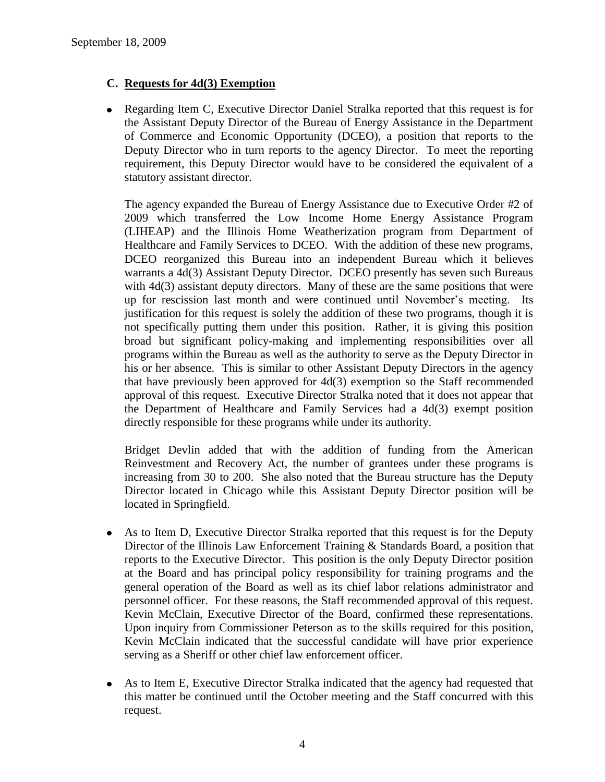# **C. Requests for 4d(3) Exemption**

• Regarding Item C, Executive Director Daniel Stralka reported that this request is for the Assistant Deputy Director of the Bureau of Energy Assistance in the Department of Commerce and Economic Opportunity (DCEO), a position that reports to the Deputy Director who in turn reports to the agency Director. To meet the reporting requirement, this Deputy Director would have to be considered the equivalent of a statutory assistant director.

The agency expanded the Bureau of Energy Assistance due to Executive Order #2 of 2009 which transferred the Low Income Home Energy Assistance Program (LIHEAP) and the Illinois Home Weatherization program from Department of Healthcare and Family Services to DCEO. With the addition of these new programs, DCEO reorganized this Bureau into an independent Bureau which it believes warrants a 4d(3) Assistant Deputy Director. DCEO presently has seven such Bureaus with  $4d(3)$  assistant deputy directors. Many of these are the same positions that were up for rescission last month and were continued until November's meeting. Its justification for this request is solely the addition of these two programs, though it is not specifically putting them under this position. Rather, it is giving this position broad but significant policy-making and implementing responsibilities over all programs within the Bureau as well as the authority to serve as the Deputy Director in his or her absence. This is similar to other Assistant Deputy Directors in the agency that have previously been approved for 4d(3) exemption so the Staff recommended approval of this request. Executive Director Stralka noted that it does not appear that the Department of Healthcare and Family Services had a 4d(3) exempt position directly responsible for these programs while under its authority.

Bridget Devlin added that with the addition of funding from the American Reinvestment and Recovery Act, the number of grantees under these programs is increasing from 30 to 200. She also noted that the Bureau structure has the Deputy Director located in Chicago while this Assistant Deputy Director position will be located in Springfield.

- As to Item D, Executive Director Stralka reported that this request is for the Deputy  $\bullet$ Director of the Illinois Law Enforcement Training & Standards Board, a position that reports to the Executive Director. This position is the only Deputy Director position at the Board and has principal policy responsibility for training programs and the general operation of the Board as well as its chief labor relations administrator and personnel officer. For these reasons, the Staff recommended approval of this request. Kevin McClain, Executive Director of the Board, confirmed these representations. Upon inquiry from Commissioner Peterson as to the skills required for this position, Kevin McClain indicated that the successful candidate will have prior experience serving as a Sheriff or other chief law enforcement officer.
- As to Item E, Executive Director Stralka indicated that the agency had requested that  $\bullet$ this matter be continued until the October meeting and the Staff concurred with this request.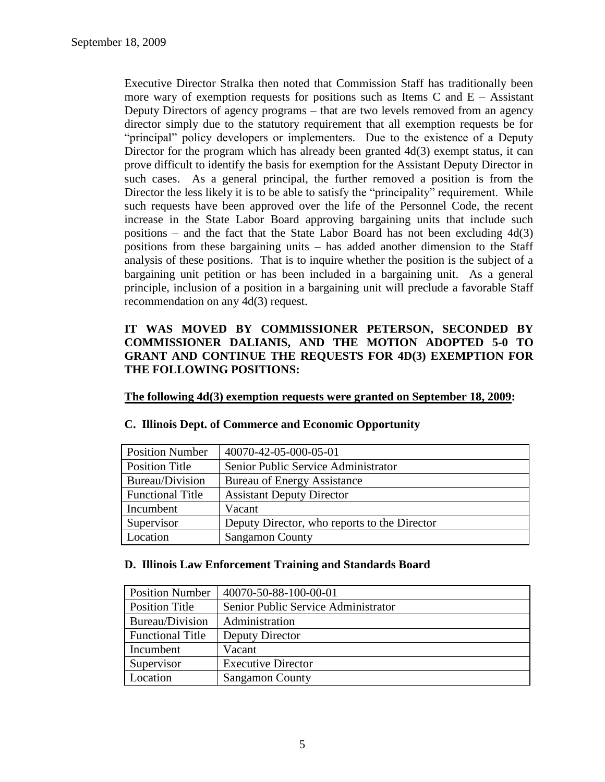Executive Director Stralka then noted that Commission Staff has traditionally been more wary of exemption requests for positions such as Items C and  $E -$  Assistant Deputy Directors of agency programs – that are two levels removed from an agency director simply due to the statutory requirement that all exemption requests be for "principal" policy developers or implementers. Due to the existence of a Deputy Director for the program which has already been granted  $4d(3)$  exempt status, it can prove difficult to identify the basis for exemption for the Assistant Deputy Director in such cases. As a general principal, the further removed a position is from the Director the less likely it is to be able to satisfy the "principality" requirement. While such requests have been approved over the life of the Personnel Code, the recent increase in the State Labor Board approving bargaining units that include such positions – and the fact that the State Labor Board has not been excluding 4d(3) positions from these bargaining units – has added another dimension to the Staff analysis of these positions. That is to inquire whether the position is the subject of a bargaining unit petition or has been included in a bargaining unit. As a general principle, inclusion of a position in a bargaining unit will preclude a favorable Staff recommendation on any 4d(3) request.

# **IT WAS MOVED BY COMMISSIONER PETERSON, SECONDED BY COMMISSIONER DALIANIS, AND THE MOTION ADOPTED 5-0 TO GRANT AND CONTINUE THE REQUESTS FOR 4D(3) EXEMPTION FOR THE FOLLOWING POSITIONS:**

**The following 4d(3) exemption requests were granted on September 18, 2009:**

| <b>Position Number</b>  | 40070-42-05-000-05-01                        |
|-------------------------|----------------------------------------------|
| <b>Position Title</b>   | Senior Public Service Administrator          |
| Bureau/Division         | <b>Bureau of Energy Assistance</b>           |
| <b>Functional Title</b> | <b>Assistant Deputy Director</b>             |
| Incumbent               | Vacant                                       |
| Supervisor              | Deputy Director, who reports to the Director |
| Location                | <b>Sangamon County</b>                       |

#### **C. Illinois Dept. of Commerce and Economic Opportunity**

#### **D. Illinois Law Enforcement Training and Standards Board**

| <b>Position Number</b>  | 40070-50-88-100-00-01               |  |
|-------------------------|-------------------------------------|--|
| <b>Position Title</b>   | Senior Public Service Administrator |  |
| Bureau/Division         | Administration                      |  |
| <b>Functional Title</b> | Deputy Director                     |  |
| Incumbent               | Vacant                              |  |
| Supervisor              | <b>Executive Director</b>           |  |
| Location                | <b>Sangamon County</b>              |  |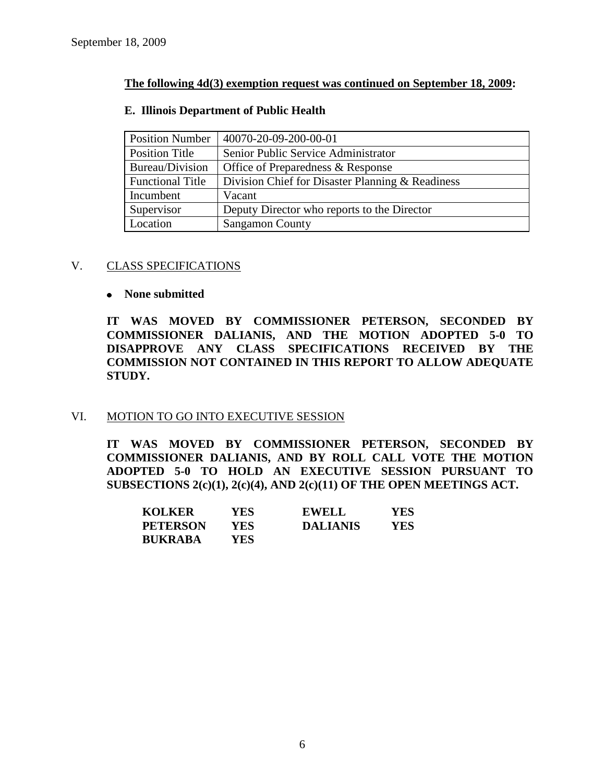### **The following 4d(3) exemption request was continued on September 18, 2009:**

#### **E. Illinois Department of Public Health**

| <b>Position Number</b>  | 40070-20-09-200-00-01                            |
|-------------------------|--------------------------------------------------|
| Position Title          | Senior Public Service Administrator              |
| Bureau/Division         | Office of Preparedness & Response                |
| <b>Functional Title</b> | Division Chief for Disaster Planning & Readiness |
| Incumbent               | Vacant                                           |
| Supervisor              | Deputy Director who reports to the Director      |
| Location                | <b>Sangamon County</b>                           |

#### V. CLASS SPECIFICATIONS

#### **None submitted**

**IT WAS MOVED BY COMMISSIONER PETERSON, SECONDED BY COMMISSIONER DALIANIS, AND THE MOTION ADOPTED 5-0 TO DISAPPROVE ANY CLASS SPECIFICATIONS RECEIVED BY THE COMMISSION NOT CONTAINED IN THIS REPORT TO ALLOW ADEQUATE STUDY.** 

# VI. MOTION TO GO INTO EXECUTIVE SESSION

**IT WAS MOVED BY COMMISSIONER PETERSON, SECONDED BY COMMISSIONER DALIANIS, AND BY ROLL CALL VOTE THE MOTION ADOPTED 5-0 TO HOLD AN EXECUTIVE SESSION PURSUANT TO SUBSECTIONS 2(c)(1), 2(c)(4), AND 2(c)(11) OF THE OPEN MEETINGS ACT.** 

| <b>KOLKER</b>   | YES  | <b>EWELL</b>    | YES. |
|-----------------|------|-----------------|------|
| <b>PETERSON</b> | YES. | <b>DALIANIS</b> | YES  |
| <b>BUKRABA</b>  | YES. |                 |      |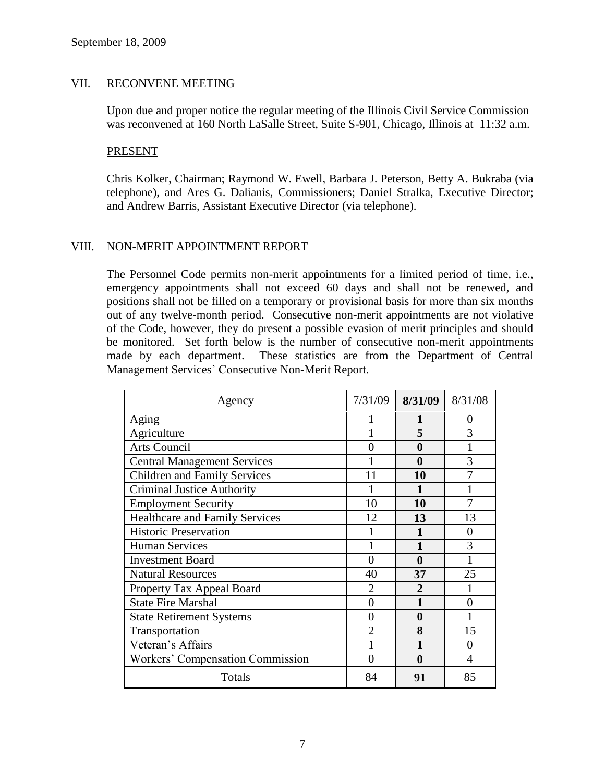#### VII. RECONVENE MEETING

Upon due and proper notice the regular meeting of the Illinois Civil Service Commission was reconvened at 160 North LaSalle Street, Suite S-901, Chicago, Illinois at 11:32 a.m.

#### PRESENT

Chris Kolker, Chairman; Raymond W. Ewell, Barbara J. Peterson, Betty A. Bukraba (via telephone), and Ares G. Dalianis, Commissioners; Daniel Stralka, Executive Director; and Andrew Barris, Assistant Executive Director (via telephone).

#### VIII. NON-MERIT APPOINTMENT REPORT

The Personnel Code permits non-merit appointments for a limited period of time, i.e., emergency appointments shall not exceed 60 days and shall not be renewed, and positions shall not be filled on a temporary or provisional basis for more than six months out of any twelve-month period. Consecutive non-merit appointments are not violative of the Code, however, they do present a possible evasion of merit principles and should be monitored. Set forth below is the number of consecutive non-merit appointments made by each department. These statistics are from the Department of Central Management Services' Consecutive Non-Merit Report.

| Agency                                  | 7/31/09                | 8/31/09        | 8/31/08 |
|-----------------------------------------|------------------------|----------------|---------|
| Aging                                   |                        |                | $_{0}$  |
| Agriculture                             |                        | 5              | 3       |
| <b>Arts Council</b>                     |                        | 0              |         |
| <b>Central Management Services</b>      |                        | 0              | 3       |
| <b>Children and Family Services</b>     | 11                     | 10             |         |
| <b>Criminal Justice Authority</b>       |                        |                |         |
| <b>Employment Security</b>              | 10                     | 10             |         |
| <b>Healthcare and Family Services</b>   | 12                     | 13             | 13      |
| <b>Historic Preservation</b>            |                        |                | 0       |
| <b>Human Services</b>                   |                        |                | 3       |
| <b>Investment Board</b>                 | 0                      | 0              |         |
| <b>Natural Resources</b>                | 40                     | 37             | 25      |
| Property Tax Appeal Board               | $\mathfrak{D}_{\cdot}$ | $\mathfrak{D}$ |         |
| <b>State Fire Marshal</b>               | 0                      |                | 0       |
| <b>State Retirement Systems</b>         | $\mathbf{\Omega}$      | 0              |         |
| Transportation                          |                        | 8              | 15      |
| Veteran's Affairs                       |                        |                | 0       |
| <b>Workers' Compensation Commission</b> |                        | 0              | 4       |
| Totals                                  | 84                     | 91             | 85      |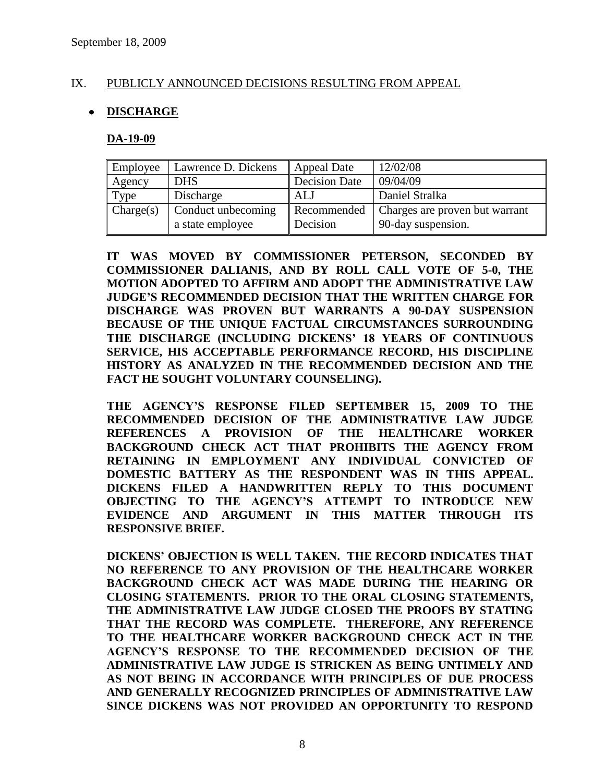### IX. PUBLICLY ANNOUNCED DECISIONS RESULTING FROM APPEAL

# **DISCHARGE**

#### **DA-19-09**

| Employee  | Lawrence D. Dickens                    | Appeal Date             | 12/02/08                                             |
|-----------|----------------------------------------|-------------------------|------------------------------------------------------|
| Agency    | <b>DHS</b>                             | Decision Date           | 09/04/09                                             |
| Type      | Discharge                              | ALJ                     | Daniel Stralka                                       |
| Change(s) | Conduct unbecoming<br>a state employee | Recommended<br>Decision | Charges are proven but warrant<br>90-day suspension. |

**IT WAS MOVED BY COMMISSIONER PETERSON, SECONDED BY COMMISSIONER DALIANIS, AND BY ROLL CALL VOTE OF 5-0, THE MOTION ADOPTED TO AFFIRM AND ADOPT THE ADMINISTRATIVE LAW JUDGE'S RECOMMENDED DECISION THAT THE WRITTEN CHARGE FOR DISCHARGE WAS PROVEN BUT WARRANTS A 90-DAY SUSPENSION BECAUSE OF THE UNIQUE FACTUAL CIRCUMSTANCES SURROUNDING THE DISCHARGE (INCLUDING DICKENS' 18 YEARS OF CONTINUOUS SERVICE, HIS ACCEPTABLE PERFORMANCE RECORD, HIS DISCIPLINE HISTORY AS ANALYZED IN THE RECOMMENDED DECISION AND THE FACT HE SOUGHT VOLUNTARY COUNSELING).** 

**THE AGENCY'S RESPONSE FILED SEPTEMBER 15, 2009 TO THE RECOMMENDED DECISION OF THE ADMINISTRATIVE LAW JUDGE REFERENCES A PROVISION OF THE HEALTHCARE WORKER BACKGROUND CHECK ACT THAT PROHIBITS THE AGENCY FROM RETAINING IN EMPLOYMENT ANY INDIVIDUAL CONVICTED OF DOMESTIC BATTERY AS THE RESPONDENT WAS IN THIS APPEAL. DICKENS FILED A HANDWRITTEN REPLY TO THIS DOCUMENT OBJECTING TO THE AGENCY'S ATTEMPT TO INTRODUCE NEW EVIDENCE AND ARGUMENT IN THIS MATTER THROUGH ITS RESPONSIVE BRIEF.** 

**DICKENS' OBJECTION IS WELL TAKEN. THE RECORD INDICATES THAT NO REFERENCE TO ANY PROVISION OF THE HEALTHCARE WORKER BACKGROUND CHECK ACT WAS MADE DURING THE HEARING OR CLOSING STATEMENTS. PRIOR TO THE ORAL CLOSING STATEMENTS, THE ADMINISTRATIVE LAW JUDGE CLOSED THE PROOFS BY STATING THAT THE RECORD WAS COMPLETE. THEREFORE, ANY REFERENCE TO THE HEALTHCARE WORKER BACKGROUND CHECK ACT IN THE AGENCY'S RESPONSE TO THE RECOMMENDED DECISION OF THE ADMINISTRATIVE LAW JUDGE IS STRICKEN AS BEING UNTIMELY AND AS NOT BEING IN ACCORDANCE WITH PRINCIPLES OF DUE PROCESS AND GENERALLY RECOGNIZED PRINCIPLES OF ADMINISTRATIVE LAW SINCE DICKENS WAS NOT PROVIDED AN OPPORTUNITY TO RESPOND**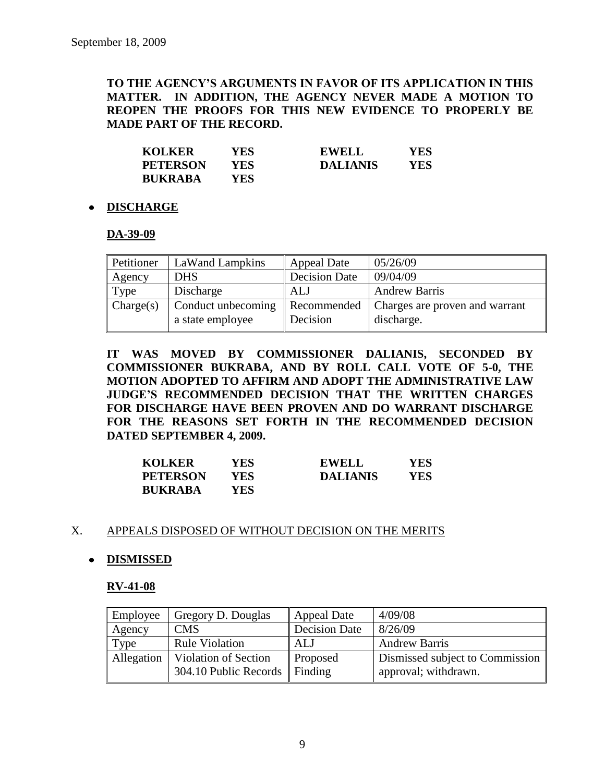# **TO THE AGENCY'S ARGUMENTS IN FAVOR OF ITS APPLICATION IN THIS MATTER. IN ADDITION, THE AGENCY NEVER MADE A MOTION TO REOPEN THE PROOFS FOR THIS NEW EVIDENCE TO PROPERLY BE MADE PART OF THE RECORD.**

| <b>KOLKER</b>   | YES. | <b>EWELL</b>    | YES |
|-----------------|------|-----------------|-----|
| <b>PETERSON</b> | YES. | <b>DALIANIS</b> | YES |
| <b>BUKRABA</b>  | YES. |                 |     |

#### **DISCHARGE**

#### **DA-39-09**

| Petitioner | LaWand Lampkins                        | <b>Appeal Date</b>      | 05/26/09                                     |
|------------|----------------------------------------|-------------------------|----------------------------------------------|
| Agency     | <b>DHS</b>                             | <b>Decision Date</b>    | 09/04/09                                     |
| Type       | Discharge                              | ALJ                     | <b>Andrew Barris</b>                         |
| Change(s)  | Conduct unbecoming<br>a state employee | Recommended<br>Decision | Charges are proven and warrant<br>discharge. |

**IT WAS MOVED BY COMMISSIONER DALIANIS, SECONDED BY COMMISSIONER BUKRABA, AND BY ROLL CALL VOTE OF 5-0, THE MOTION ADOPTED TO AFFIRM AND ADOPT THE ADMINISTRATIVE LAW JUDGE'S RECOMMENDED DECISION THAT THE WRITTEN CHARGES FOR DISCHARGE HAVE BEEN PROVEN AND DO WARRANT DISCHARGE FOR THE REASONS SET FORTH IN THE RECOMMENDED DECISION DATED SEPTEMBER 4, 2009.**

| <b>KOLKER</b>   | YES  | <b>EWELL</b>    | YES |
|-----------------|------|-----------------|-----|
| <b>PETERSON</b> | YES- | <b>DALIANIS</b> | YES |
| <b>BUKRABA</b>  | YES- |                 |     |

#### X. APPEALS DISPOSED OF WITHOUT DECISION ON THE MERITS

# **DISMISSED**

#### **RV-41-08**

| Employee   | Gregory D. Douglas                                    | <b>Appeal Date</b>   | 4/09/08                                                 |
|------------|-------------------------------------------------------|----------------------|---------------------------------------------------------|
| Agency     | <b>CMS</b>                                            | <b>Decision Date</b> | 8/26/09                                                 |
| Type       | <b>Rule Violation</b>                                 | ALJ                  | <b>Andrew Barris</b>                                    |
| Allegation | Violation of Section<br>304.10 Public Records Finding | <b>Proposed</b>      | Dismissed subject to Commission<br>approval; withdrawn. |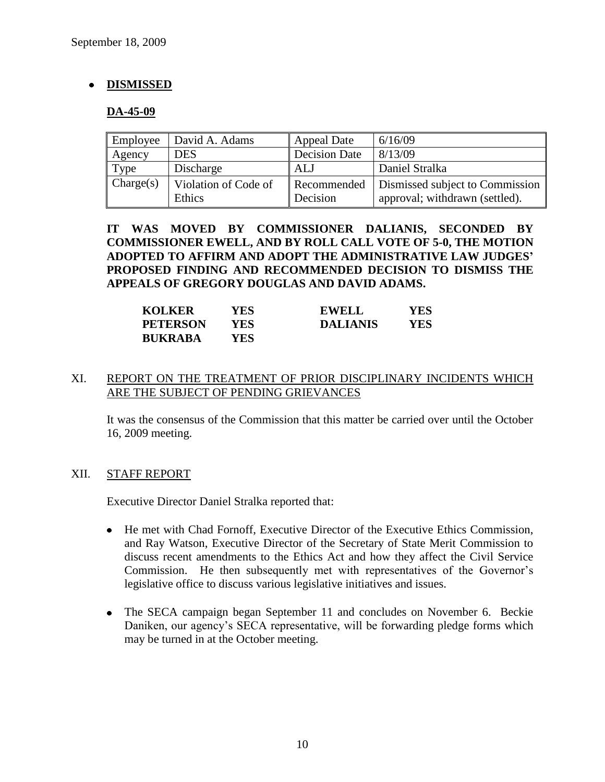# **DISMISSED**

#### **DA-45-09**

| Employee  | David A. Adams       | <b>Appeal Date</b>   | 6/16/09                         |
|-----------|----------------------|----------------------|---------------------------------|
| Agency    | <b>DES</b>           | <b>Decision Date</b> | 8/13/09                         |
| Type      | Discharge            | ALJ                  | Daniel Stralka                  |
| Change(s) | Violation of Code of | Recommended          | Dismissed subject to Commission |
|           | Ethics               | Decision             | approval; withdrawn (settled).  |

**IT WAS MOVED BY COMMISSIONER DALIANIS, SECONDED BY COMMISSIONER EWELL, AND BY ROLL CALL VOTE OF 5-0, THE MOTION ADOPTED TO AFFIRM AND ADOPT THE ADMINISTRATIVE LAW JUDGES' PROPOSED FINDING AND RECOMMENDED DECISION TO DISMISS THE APPEALS OF GREGORY DOUGLAS AND DAVID ADAMS.**

| <b>KOLKER</b>   | YES- | <b>EWELL</b>    | YES |
|-----------------|------|-----------------|-----|
| <b>PETERSON</b> | YES. | <b>DALIANIS</b> | YES |
| <b>BUKRABA</b>  | YES- |                 |     |

#### XI. REPORT ON THE TREATMENT OF PRIOR DISCIPLINARY INCIDENTS WHICH ARE THE SUBJECT OF PENDING GRIEVANCES

It was the consensus of the Commission that this matter be carried over until the October 16, 2009 meeting.

#### XII. STAFF REPORT

Executive Director Daniel Stralka reported that:

- He met with Chad Fornoff, Executive Director of the Executive Ethics Commission, and Ray Watson, Executive Director of the Secretary of State Merit Commission to discuss recent amendments to the Ethics Act and how they affect the Civil Service Commission. He then subsequently met with representatives of the Governor's legislative office to discuss various legislative initiatives and issues.
- The SECA campaign began September 11 and concludes on November 6. Beckie Daniken, our agency's SECA representative, will be forwarding pledge forms which may be turned in at the October meeting.